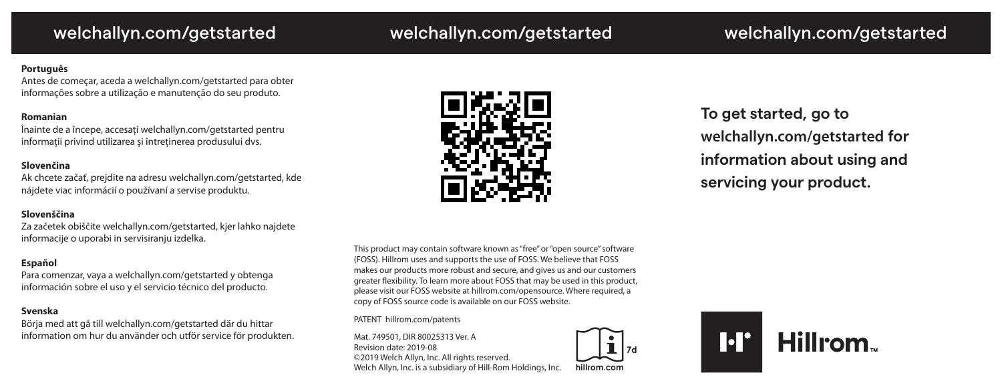# welchallyn.com/getstarted welchallyn.com/getstarted welchallyn.com/getstarted

# **Português**

Antes de começar, aceda a welchallyn.com/getstarted para obter informações sobre a utilização e manutenção do seu produto.

# **Romanian**

Înainte de a începe, accesaţi welchallyn.com/getstarted pentru informaţii privind utilizarea şi întreţinerea produsului dvs.

# **Slovenčina**

Ak chcete začať, prejdite na adresu welchallyn.com/getstarted, kde nájdete viac informácií o používaní a servise produktu.

# **Slovenščina**

Za začetek obiščite welchallyn.com/getstarted, kjer lahko najdete informacije o uporabi in servisiranju izdelka.

# **Español**

Para comenzar, vaya a welchallyn.com/getstarted y obtenga información sobre el uso y el servicio técnico del producto.

## **Svenska**

Börja med att gå till welchallyn.com/getstarted där du hittar information om hur du använder och utför service för produkten.



**To get started, go to [welchallyn.com/getstarted](www.welchallyn.com/getstarted) for information about using and servicing your product.**

This product may contain software known as "free" or "open source" software (FOSS). Hillrom uses and supports the use of FOSS. We believe that FOSS makes our products more robust and secure, and gives us and our customers greater flexibility. To learn more about FOSS that may be used in this product, please visit our FOSS website at hillrom.com/opensource. Where required, a copy of FOSS source code is available on our FOSS website.

PATENT [hillrom.com/patents](www.hillrom.com/patents)

Mat. 749501, DIR 80025313 Ver. A Revision date: 2019-08 ©2019 Welch Allyn, Inc. All rights reserved. Welch Allyn, Inc. is a subsidiary of Hill-Rom Holdings, Inc.